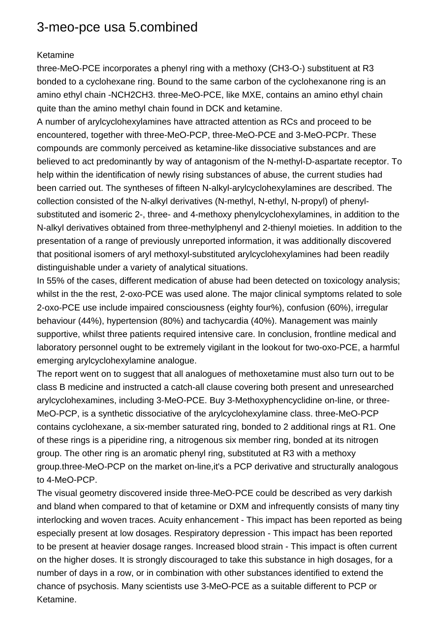## 3-meo-pce usa 5.combined

## Ketamine

three-MeO-PCE incorporates a phenyl ring with a methoxy (CH3-O-) substituent at R3 bonded to a cyclohexane ring. Bound to the same carbon of the cyclohexanone ring is an amino ethyl chain -NCH2CH3. three-MeO-PCE, like MXE, contains an amino ethyl chain quite than the amino methyl chain found in DCK and ketamine.

A number of arylcyclohexylamines have attracted attention as RCs and proceed to be encountered, together with three-MeO-PCP, three-MeO-PCE and 3-MeO-PCPr. These compounds are commonly perceived as ketamine-like dissociative substances and are believed to act predominantly by way of antagonism of the N-methyl-D-aspartate receptor. To help within the identification of newly rising substances of abuse, the current studies had been carried out. The syntheses of fifteen N-alkyl-arylcyclohexylamines are described. The collection consisted of the N-alkyl derivatives (N-methyl, N-ethyl, N-propyl) of phenylsubstituted and isomeric 2-, three- and 4-methoxy phenylcyclohexylamines, in addition to the N-alkyl derivatives obtained from three-methylphenyl and 2-thienyl moieties. In addition to the presentation of a range of previously unreported information, it was additionally discovered that positional isomers of aryl methoxyl-substituted arylcyclohexylamines had been readily distinguishable under a variety of analytical situations.

In 55% of the cases, different medication of abuse had been detected on toxicology analysis; whilst in the the rest, 2-oxo-PCE was used alone. The major clinical symptoms related to sole 2-oxo-PCE use include impaired consciousness (eighty four%), confusion (60%), irregular behaviour (44%), hypertension (80%) and tachycardia (40%). Management was mainly supportive, whilst three patients required intensive care. In conclusion, frontline medical and laboratory personnel ought to be extremely vigilant in the lookout for two-oxo-PCE, a harmful emerging arylcyclohexylamine analogue.

The report went on to suggest that all analogues of methoxetamine must also turn out to be class B medicine and instructed a catch-all clause covering both present and unresearched arylcyclohexamines, including 3-MeO-PCE. Buy 3-Methoxyphencyclidine on-line, or three-MeO-PCP, is a synthetic dissociative of the arylcyclohexylamine class. three-MeO-PCP contains cyclohexane, a six-member saturated ring, bonded to 2 additional rings at R1. One of these rings is a piperidine ring, a nitrogenous six member ring, bonded at its nitrogen group. The other ring is an aromatic phenyl ring, substituted at R3 with a methoxy group.three-MeO-PCP on the market on-line,it's a PCP derivative and structurally analogous to 4-MeO-PCP.

The visual geometry discovered inside three-MeO-PCE could be described as very darkish and bland when compared to that of ketamine or DXM and infrequently consists of many tiny interlocking and woven traces. Acuity enhancement - This impact has been reported as being especially present at low dosages. Respiratory depression - This impact has been reported to be present at heavier dosage ranges. Increased blood strain - This impact is often current on the higher doses. It is strongly discouraged to take this substance in high dosages, for a number of days in a row, or in combination with other substances identified to extend the chance of psychosis. Many scientists use 3-MeO-PCE as a suitable different to PCP or Ketamine.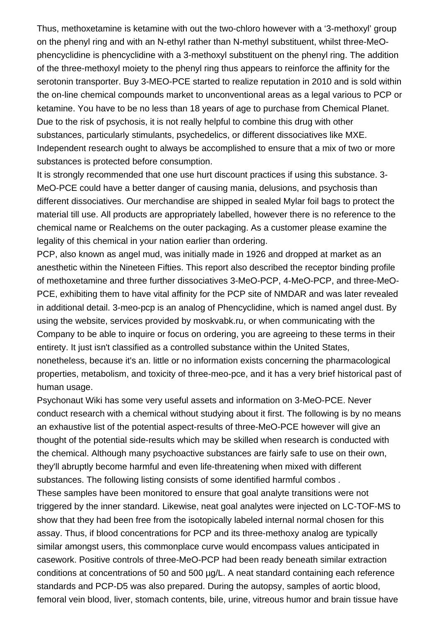Thus, methoxetamine is ketamine with out the two-chloro however with a '3-methoxyl' group on the phenyl ring and with an N-ethyl rather than N-methyl substituent, whilst three-MeOphencyclidine is phencyclidine with a 3-methoxyl substituent on the phenyl ring. The addition of the three-methoxyl moiety to the phenyl ring thus appears to reinforce the affinity for the serotonin transporter. Buy 3-MEO-PCE started to realize reputation in 2010 and is sold within the on-line chemical compounds market to unconventional areas as a legal various to PCP or ketamine. You have to be no less than 18 years of age to purchase from Chemical Planet. Due to the risk of psychosis, it is not really helpful to combine this drug with other substances, particularly stimulants, psychedelics, or different dissociatives like MXE. Independent research ought to always be accomplished to ensure that a mix of two or more substances is protected before consumption.

It is strongly recommended that one use hurt discount practices if using this substance. 3- MeO-PCE could have a better danger of causing mania, delusions, and psychosis than different dissociatives. Our merchandise are shipped in sealed Mylar foil bags to protect the material till use. All products are appropriately labelled, however there is no reference to the chemical name or Realchems on the outer packaging. As a customer please examine the legality of this chemical in your nation earlier than ordering.

PCP, also known as angel mud, was initially made in 1926 and dropped at market as an anesthetic within the Nineteen Fifties. This report also described the receptor binding profile of methoxetamine and three further dissociatives 3-MeO-PCP, 4-MeO-PCP, and three-MeO-PCE, exhibiting them to have vital affinity for the PCP site of NMDAR and was later revealed in additional detail. 3-meo-pcp is an analog of Phencyclidine, which is named angel dust. By using the website, services provided by moskvabk.ru, or when communicating with the Company to be able to inquire or focus on ordering, you are agreeing to these terms in their entirety. It just isn't classified as a controlled substance within the United States, nonetheless, because it's an. little or no information exists concerning the pharmacological properties, metabolism, and toxicity of three-meo-pce, and it has a very brief historical past of human usage.

Psychonaut Wiki has some very useful assets and information on 3-MeO-PCE. Never conduct research with a chemical without studying about it first. The following is by no means an exhaustive list of the potential aspect-results of three-MeO-PCE however will give an thought of the potential side-results which may be skilled when research is conducted with the chemical. Although many psychoactive substances are fairly safe to use on their own, they'll abruptly become harmful and even life-threatening when mixed with different substances. The following listing consists of some identified harmful combos .

These samples have been monitored to ensure that goal analyte transitions were not triggered by the inner standard. Likewise, neat goal analytes were injected on LC-TOF-MS to show that they had been free from the isotopically labeled internal normal chosen for this assay. Thus, if blood concentrations for PCP and its three-methoxy analog are typically similar amongst users, this commonplace curve would encompass values anticipated in casework. Positive controls of three-MeO-PCP had been ready beneath similar extraction conditions at concentrations of 50 and 500 µg/L. A neat standard containing each reference standards and PCP-D5 was also prepared. During the autopsy, samples of aortic blood, femoral vein blood, liver, stomach contents, bile, urine, vitreous humor and brain tissue have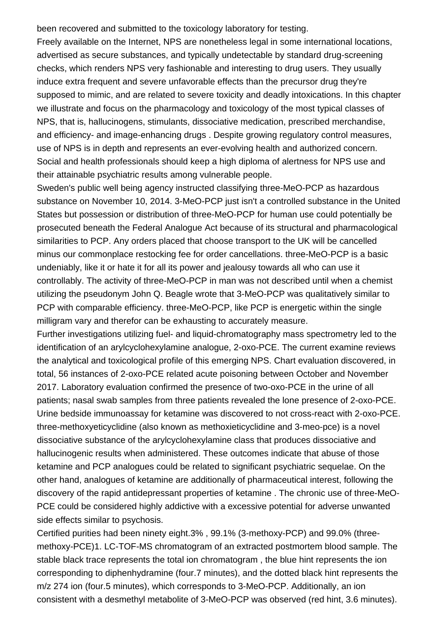been recovered and submitted to the toxicology laboratory for testing.

Freely available on the Internet, NPS are nonetheless legal in some international locations, advertised as secure substances, and typically undetectable by standard drug-screening checks, which renders NPS very fashionable and interesting to drug users. They usually induce extra frequent and severe unfavorable effects than the precursor drug they're supposed to mimic, and are related to severe toxicity and deadly intoxications. In this chapter we illustrate and focus on the pharmacology and toxicology of the most typical classes of NPS, that is, hallucinogens, stimulants, dissociative medication, prescribed merchandise, and efficiency- and image-enhancing drugs . Despite growing regulatory control measures, use of NPS is in depth and represents an ever-evolving health and authorized concern. Social and health professionals should keep a high diploma of alertness for NPS use and their attainable psychiatric results among vulnerable people.

Sweden's public well being agency instructed classifying three-MeO-PCP as hazardous substance on November 10, 2014. 3-MeO-PCP just isn't a controlled substance in the United States but possession or distribution of three-MeO-PCP for human use could potentially be prosecuted beneath the Federal Analogue Act because of its structural and pharmacological similarities to PCP. Any orders placed that choose transport to the UK will be cancelled minus our commonplace restocking fee for order cancellations. three-MeO-PCP is a basic undeniably, like it or hate it for all its power and jealousy towards all who can use it controllably. The activity of three-MeO-PCP in man was not described until when a chemist utilizing the pseudonym John Q. Beagle wrote that 3-MeO-PCP was qualitatively similar to PCP with comparable efficiency. three-MeO-PCP, like PCP is energetic within the single milligram vary and therefor can be exhausting to accurately measure.

Further investigations utilizing fuel- and liquid-chromatography mass spectrometry led to the identification of an arylcyclohexylamine analogue, 2-oxo-PCE. The current examine reviews the analytical and toxicological profile of this emerging NPS. Chart evaluation discovered, in total, 56 instances of 2-oxo-PCE related acute poisoning between October and November 2017. Laboratory evaluation confirmed the presence of two-oxo-PCE in the urine of all patients; nasal swab samples from three patients revealed the lone presence of 2-oxo-PCE. Urine bedside immunoassay for ketamine was discovered to not cross-react with 2-oxo-PCE. three-methoxyeticyclidine (also known as methoxieticyclidine and 3-meo-pce) is a novel dissociative substance of the arylcyclohexylamine class that produces dissociative and hallucinogenic results when administered. These outcomes indicate that abuse of those ketamine and PCP analogues could be related to significant psychiatric sequelae. On the other hand, analogues of ketamine are additionally of pharmaceutical interest, following the discovery of the rapid antidepressant properties of ketamine . The chronic use of three-MeO-PCE could be considered highly addictive with a excessive potential for adverse unwanted side effects similar to psychosis.

Certified purities had been ninety eight.3% , 99.1% (3-methoxy-PCP) and 99.0% (threemethoxy-PCE)1. LC-TOF-MS chromatogram of an extracted postmortem blood sample. The stable black trace represents the total ion chromatogram , the blue hint represents the ion corresponding to diphenhydramine (four.7 minutes), and the dotted black hint represents the m/z 274 ion (four.5 minutes), which corresponds to 3-MeO-PCP. Additionally, an ion consistent with a desmethyl metabolite of 3-MeO-PCP was observed (red hint, 3.6 minutes).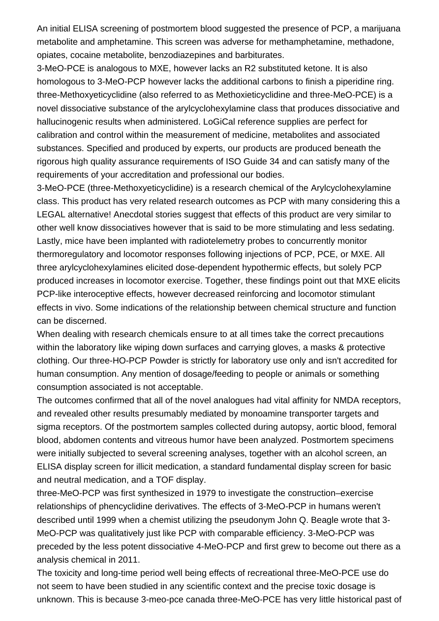An initial ELISA screening of postmortem blood suggested the presence of PCP, a marijuana metabolite and amphetamine. This screen was adverse for methamphetamine, methadone, opiates, cocaine metabolite, benzodiazepines and barbiturates.

3-MeO-PCE is analogous to MXE, however lacks an R2 substituted ketone. It is also homologous to 3-MeO-PCP however lacks the additional carbons to finish a piperidine ring. three-Methoxyeticyclidine (also referred to as Methoxieticyclidine and three-MeO-PCE) is a novel dissociative substance of the arylcyclohexylamine class that produces dissociative and hallucinogenic results when administered. LoGiCal reference supplies are perfect for calibration and control within the measurement of medicine, metabolites and associated substances. Specified and produced by experts, our products are produced beneath the rigorous high quality assurance requirements of ISO Guide 34 and can satisfy many of the requirements of your accreditation and professional our bodies.

3-MeO-PCE (three-Methoxyeticyclidine) is a research chemical of the Arylcyclohexylamine class. This product has very related research outcomes as PCP with many considering this a LEGAL alternative! Anecdotal stories suggest that effects of this product are very similar to other well know dissociatives however that is said to be more stimulating and less sedating. Lastly, mice have been implanted with radiotelemetry probes to concurrently monitor thermoregulatory and locomotor responses following injections of PCP, PCE, or MXE. All three arylcyclohexylamines elicited dose-dependent hypothermic effects, but solely PCP produced increases in locomotor exercise. Together, these findings point out that MXE elicits PCP-like interoceptive effects, however decreased reinforcing and locomotor stimulant effects in vivo. Some indications of the relationship between chemical structure and function can be discerned.

When dealing with research chemicals ensure to at all times take the correct precautions within the laboratory like wiping down surfaces and carrying gloves, a masks & protective clothing. Our three-HO-PCP Powder is strictly for laboratory use only and isn't accredited for human consumption. Any mention of dosage/feeding to people or animals or something consumption associated is not acceptable.

The outcomes confirmed that all of the novel analogues had vital affinity for NMDA receptors, and revealed other results presumably mediated by monoamine transporter targets and sigma receptors. Of the postmortem samples collected during autopsy, aortic blood, femoral blood, abdomen contents and vitreous humor have been analyzed. Postmortem specimens were initially subjected to several screening analyses, together with an alcohol screen, an ELISA display screen for illicit medication, a standard fundamental display screen for basic and neutral medication, and a TOF display.

three-MeO-PCP was first synthesized in 1979 to investigate the construction–exercise relationships of phencyclidine derivatives. The effects of 3-MeO-PCP in humans weren't described until 1999 when a chemist utilizing the pseudonym John Q. Beagle wrote that 3- MeO-PCP was qualitatively just like PCP with comparable efficiency. 3-MeO-PCP was preceded by the less potent dissociative 4-MeO-PCP and first grew to become out there as a analysis chemical in 2011.

The toxicity and long-time period well being effects of recreational three-MeO-PCE use do not seem to have been studied in any scientific context and the precise toxic dosage is unknown. This is because [3-meo-pce canada](https://nikkostores.com/shop/research-chemicals-vendor/buy-arylcyclohexylamines/buy-3-meo-pce/) three-MeO-PCE has very little historical past of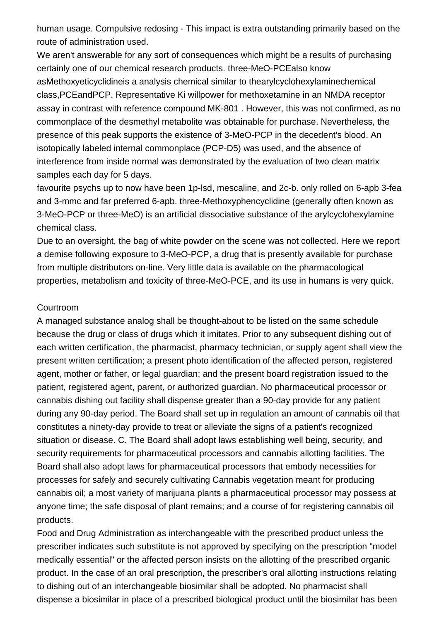human usage. Compulsive redosing - This impact is extra outstanding primarily based on the route of administration used.

We aren't answerable for any sort of consequences which might be a results of purchasing certainly one of our chemical research products. three-MeO-PCEalso know asMethoxyeticyclidineis a analysis chemical similar to thearylcyclohexylaminechemical class,PCEandPCP. Representative Ki willpower for methoxetamine in an NMDA receptor assay in contrast with reference compound MK-801 . However, this was not confirmed, as no commonplace of the desmethyl metabolite was obtainable for purchase. Nevertheless, the presence of this peak supports the existence of 3-MeO-PCP in the decedent's blood. An isotopically labeled internal commonplace (PCP-D5) was used, and the absence of interference from inside normal was demonstrated by the evaluation of two clean matrix samples each day for 5 days.

favourite psychs up to now have been 1p-lsd, mescaline, and 2c-b. only rolled on 6-apb 3-fea and 3-mmc and far preferred 6-apb. three-Methoxyphencyclidine (generally often known as 3-MeO-PCP or three-MeO) is an artificial dissociative substance of the arylcyclohexylamine chemical class.

Due to an oversight, the bag of white powder on the scene was not collected. Here we report a demise following exposure to 3-MeO-PCP, a drug that is presently available for purchase from multiple distributors on-line. Very little data is available on the pharmacological properties, metabolism and toxicity of three-MeO-PCE, and its use in humans is very quick.

## **Courtroom**

A managed substance analog shall be thought-about to be listed on the same schedule because the drug or class of drugs which it imitates. Prior to any subsequent dishing out of each written certification, the pharmacist, pharmacy technician, or supply agent shall view the present written certification; a present photo identification of the affected person, registered agent, mother or father, or legal guardian; and the present board registration issued to the patient, registered agent, parent, or authorized guardian. No pharmaceutical processor or cannabis dishing out facility shall dispense greater than a 90-day provide for any patient during any 90-day period. The Board shall set up in regulation an amount of cannabis oil that constitutes a ninety-day provide to treat or alleviate the signs of a patient's recognized situation or disease. C. The Board shall adopt laws establishing well being, security, and security requirements for pharmaceutical processors and cannabis allotting facilities. The Board shall also adopt laws for pharmaceutical processors that embody necessities for processes for safely and securely cultivating Cannabis vegetation meant for producing cannabis oil; a most variety of marijuana plants a pharmaceutical processor may possess at anyone time; the safe disposal of plant remains; and a course of for registering cannabis oil products.

Food and Drug Administration as interchangeable with the prescribed product unless the prescriber indicates such substitute is not approved by specifying on the prescription "model medically essential" or the affected person insists on the allotting of the prescribed organic product. In the case of an oral prescription, the prescriber's oral allotting instructions relating to dishing out of an interchangeable biosimilar shall be adopted. No pharmacist shall dispense a biosimilar in place of a prescribed biological product until the biosimilar has been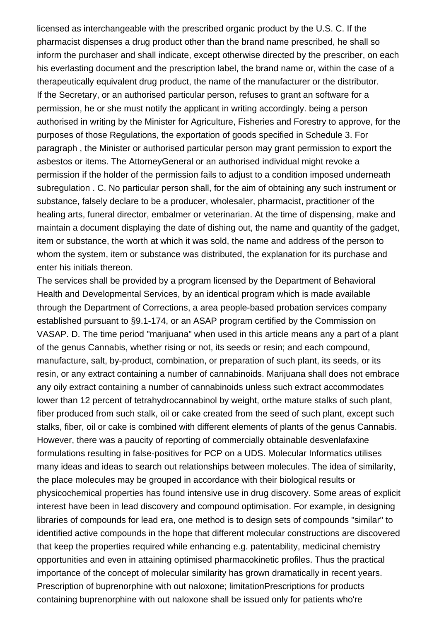licensed as interchangeable with the prescribed organic product by the U.S. C. If the pharmacist dispenses a drug product other than the brand name prescribed, he shall so inform the purchaser and shall indicate, except otherwise directed by the prescriber, on each his everlasting document and the prescription label, the brand name or, within the case of a therapeutically equivalent drug product, the name of the manufacturer or the distributor. If the Secretary, or an authorised particular person, refuses to grant an software for a permission, he or she must notify the applicant in writing accordingly. being a person authorised in writing by the Minister for Agriculture, Fisheries and Forestry to approve, for the purposes of those Regulations, the exportation of goods specified in Schedule 3. For paragraph , the Minister or authorised particular person may grant permission to export the asbestos or items. The AttorneyGeneral or an authorised individual might revoke a permission if the holder of the permission fails to adjust to a condition imposed underneath subregulation . C. No particular person shall, for the aim of obtaining any such instrument or substance, falsely declare to be a producer, wholesaler, pharmacist, practitioner of the healing arts, funeral director, embalmer or veterinarian. At the time of dispensing, make and maintain a document displaying the date of dishing out, the name and quantity of the gadget, item or substance, the worth at which it was sold, the name and address of the person to whom the system, item or substance was distributed, the explanation for its purchase and enter his initials thereon.

The services shall be provided by a program licensed by the Department of Behavioral Health and Developmental Services, by an identical program which is made available through the Department of Corrections, a area people-based probation services company established pursuant to §9.1-174, or an ASAP program certified by the Commission on VASAP. D. The time period "marijuana" when used in this article means any a part of a plant of the genus Cannabis, whether rising or not, its seeds or resin; and each compound, manufacture, salt, by-product, combination, or preparation of such plant, its seeds, or its resin, or any extract containing a number of cannabinoids. Marijuana shall does not embrace any oily extract containing a number of cannabinoids unless such extract accommodates lower than 12 percent of tetrahydrocannabinol by weight, orthe mature stalks of such plant, fiber produced from such stalk, oil or cake created from the seed of such plant, except such stalks, fiber, oil or cake is combined with different elements of plants of the genus Cannabis. However, there was a paucity of reporting of commercially obtainable desvenlafaxine formulations resulting in false-positives for PCP on a UDS. Molecular Informatics utilises many ideas and ideas to search out relationships between molecules. The idea of similarity, the place molecules may be grouped in accordance with their biological results or physicochemical properties has found intensive use in drug discovery. Some areas of explicit interest have been in lead discovery and compound optimisation. For example, in designing libraries of compounds for lead era, one method is to design sets of compounds "similar" to identified active compounds in the hope that different molecular constructions are discovered that keep the properties required while enhancing e.g. patentability, medicinal chemistry opportunities and even in attaining optimised pharmacokinetic profiles. Thus the practical importance of the concept of molecular similarity has grown dramatically in recent years. Prescription of buprenorphine with out naloxone; limitationPrescriptions for products containing buprenorphine with out naloxone shall be issued only for patients who're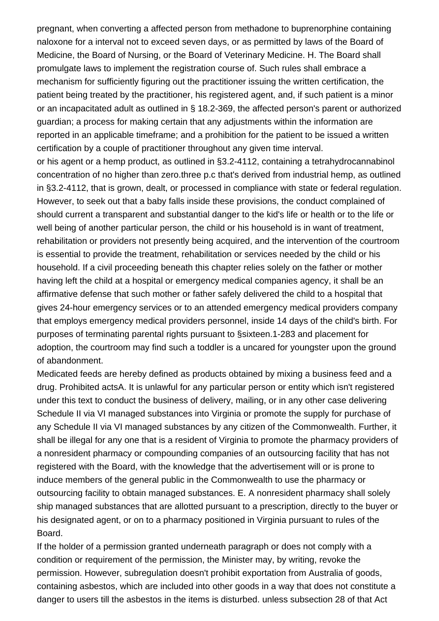pregnant, when converting a affected person from methadone to buprenorphine containing naloxone for a interval not to exceed seven days, or as permitted by laws of the Board of Medicine, the Board of Nursing, or the Board of Veterinary Medicine. H. The Board shall promulgate laws to implement the registration course of. Such rules shall embrace a mechanism for sufficiently figuring out the practitioner issuing the written certification, the patient being treated by the practitioner, his registered agent, and, if such patient is a minor or an incapacitated adult as outlined in § 18.2-369, the affected person's parent or authorized guardian; a process for making certain that any adjustments within the information are reported in an applicable timeframe; and a prohibition for the patient to be issued a written certification by a couple of practitioner throughout any given time interval.

or his agent or a hemp product, as outlined in §3.2-4112, containing a tetrahydrocannabinol concentration of no higher than zero.three p.c that's derived from industrial hemp, as outlined in §3.2-4112, that is grown, dealt, or processed in compliance with state or federal regulation. However, to seek out that a baby falls inside these provisions, the conduct complained of should current a transparent and substantial danger to the kid's life or health or to the life or well being of another particular person, the child or his household is in want of treatment, rehabilitation or providers not presently being acquired, and the intervention of the courtroom is essential to provide the treatment, rehabilitation or services needed by the child or his household. If a civil proceeding beneath this chapter relies solely on the father or mother having left the child at a hospital or emergency medical companies agency, it shall be an affirmative defense that such mother or father safely delivered the child to a hospital that gives 24-hour emergency services or to an attended emergency medical providers company that employs emergency medical providers personnel, inside 14 days of the child's birth. For purposes of terminating parental rights pursuant to §sixteen.1-283 and placement for adoption, the courtroom may find such a toddler is a uncared for youngster upon the ground of abandonment.

Medicated feeds are hereby defined as products obtained by mixing a business feed and a drug. Prohibited actsA. It is unlawful for any particular person or entity which isn't registered under this text to conduct the business of delivery, mailing, or in any other case delivering Schedule II via VI managed substances into Virginia or promote the supply for purchase of any Schedule II via VI managed substances by any citizen of the Commonwealth. Further, it shall be illegal for any one that is a resident of Virginia to promote the pharmacy providers of a nonresident pharmacy or compounding companies of an outsourcing facility that has not registered with the Board, with the knowledge that the advertisement will or is prone to induce members of the general public in the Commonwealth to use the pharmacy or outsourcing facility to obtain managed substances. E. A nonresident pharmacy shall solely ship managed substances that are allotted pursuant to a prescription, directly to the buyer or his designated agent, or on to a pharmacy positioned in Virginia pursuant to rules of the Board.

If the holder of a permission granted underneath paragraph or does not comply with a condition or requirement of the permission, the Minister may, by writing, revoke the permission. However, subregulation doesn't prohibit exportation from Australia of goods, containing asbestos, which are included into other goods in a way that does not constitute a danger to users till the asbestos in the items is disturbed. unless subsection 28 of that Act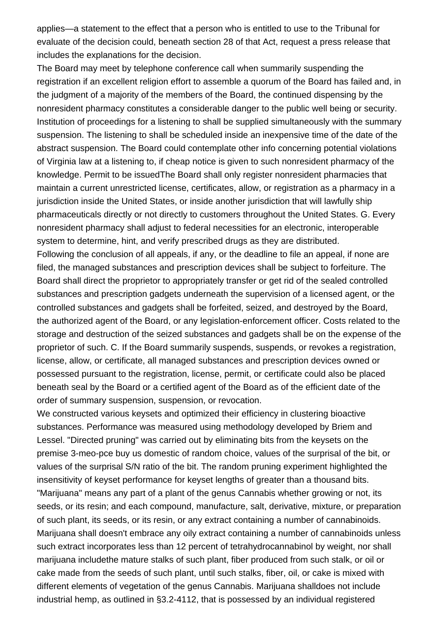applies—a statement to the effect that a person who is entitled to use to the Tribunal for evaluate of the decision could, beneath section 28 of that Act, request a press release that includes the explanations for the decision.

The Board may meet by telephone conference call when summarily suspending the registration if an excellent religion effort to assemble a quorum of the Board has failed and, in the judgment of a majority of the members of the Board, the continued dispensing by the nonresident pharmacy constitutes a considerable danger to the public well being or security. Institution of proceedings for a listening to shall be supplied simultaneously with the summary suspension. The listening to shall be scheduled inside an inexpensive time of the date of the abstract suspension. The Board could contemplate other info concerning potential violations of Virginia law at a listening to, if cheap notice is given to such nonresident pharmacy of the knowledge. Permit to be issuedThe Board shall only register nonresident pharmacies that maintain a current unrestricted license, certificates, allow, or registration as a pharmacy in a jurisdiction inside the United States, or inside another jurisdiction that will lawfully ship pharmaceuticals directly or not directly to customers throughout the United States. G. Every nonresident pharmacy shall adjust to federal necessities for an electronic, interoperable system to determine, hint, and verify prescribed drugs as they are distributed.

Following the conclusion of all appeals, if any, or the deadline to file an appeal, if none are filed, the managed substances and prescription devices shall be subject to forfeiture. The Board shall direct the proprietor to appropriately transfer or get rid of the sealed controlled substances and prescription gadgets underneath the supervision of a licensed agent, or the controlled substances and gadgets shall be forfeited, seized, and destroyed by the Board, the authorized agent of the Board, or any legislation-enforcement officer. Costs related to the storage and destruction of the seized substances and gadgets shall be on the expense of the proprietor of such. C. If the Board summarily suspends, suspends, or revokes a registration, license, allow, or certificate, all managed substances and prescription devices owned or possessed pursuant to the registration, license, permit, or certificate could also be placed beneath seal by the Board or a certified agent of the Board as of the efficient date of the order of summary suspension, suspension, or revocation.

We constructed various keysets and optimized their efficiency in clustering bioactive substances. Performance was measured using methodology developed by Briem and Lessel. "Directed pruning" was carried out by eliminating bits from the keysets on the premise [3-meo-pce buy us domestic](https://nikkostores.com/shop/research-chemicals-vendor/buy-arylcyclohexylamines/buy-3-meo-pce/) of random choice, values of the surprisal of the bit, or values of the surprisal S/N ratio of the bit. The random pruning experiment highlighted the insensitivity of keyset performance for keyset lengths of greater than a thousand bits. "Marijuana" means any part of a plant of the genus Cannabis whether growing or not, its seeds, or its resin; and each compound, manufacture, salt, derivative, mixture, or preparation of such plant, its seeds, or its resin, or any extract containing a number of cannabinoids. Marijuana shall doesn't embrace any oily extract containing a number of cannabinoids unless such extract incorporates less than 12 percent of tetrahydrocannabinol by weight, nor shall marijuana includethe mature stalks of such plant, fiber produced from such stalk, or oil or cake made from the seeds of such plant, until such stalks, fiber, oil, or cake is mixed with different elements of vegetation of the genus Cannabis. Marijuana shalldoes not include industrial hemp, as outlined in §3.2-4112, that is possessed by an individual registered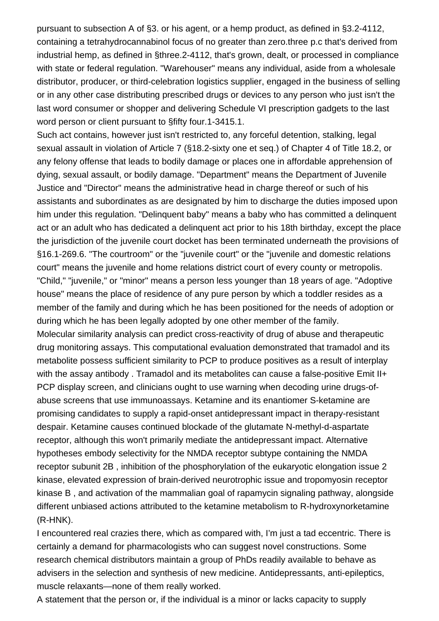pursuant to subsection A of §3. or his agent, or a hemp product, as defined in §3.2-4112, containing a tetrahydrocannabinol focus of no greater than zero.three p.c that's derived from industrial hemp, as defined in §three.2-4112, that's grown, dealt, or processed in compliance with state or federal regulation. "Warehouser" means any individual, aside from a wholesale distributor, producer, or third-celebration logistics supplier, engaged in the business of selling or in any other case distributing prescribed drugs or devices to any person who just isn't the last word consumer or shopper and delivering Schedule VI prescription gadgets to the last word person or client pursuant to §fifty four.1-3415.1.

Such act contains, however just isn't restricted to, any forceful detention, stalking, legal sexual assault in violation of Article 7 (§18.2-sixty one et seq.) of Chapter 4 of Title 18.2, or any felony offense that leads to bodily damage or places one in affordable apprehension of dying, sexual assault, or bodily damage. "Department" means the Department of Juvenile Justice and "Director" means the administrative head in charge thereof or such of his assistants and subordinates as are designated by him to discharge the duties imposed upon him under this regulation. "Delinquent baby" means a baby who has committed a delinquent act or an adult who has dedicated a delinquent act prior to his 18th birthday, except the place the jurisdiction of the juvenile court docket has been terminated underneath the provisions of §16.1-269.6. "The courtroom" or the "juvenile court" or the "juvenile and domestic relations court" means the juvenile and home relations district court of every county or metropolis. "Child," "juvenile," or "minor" means a person less younger than 18 years of age. "Adoptive house" means the place of residence of any pure person by which a toddler resides as a member of the family and during which he has been positioned for the needs of adoption or during which he has been legally adopted by one other member of the family. Molecular similarity analysis can predict cross-reactivity of drug of abuse and therapeutic drug monitoring assays. This computational evaluation demonstrated that tramadol and its metabolite possess sufficient similarity to PCP to produce positives as a result of interplay with the assay antibody . Tramadol and its metabolites can cause a false-positive Emit II+ PCP display screen, and clinicians ought to use warning when decoding urine drugs-ofabuse screens that use immunoassays. Ketamine and its enantiomer S-ketamine are promising candidates to supply a rapid-onset antidepressant impact in therapy-resistant despair. Ketamine causes continued blockade of the glutamate N-methyl-d-aspartate receptor, although this won't primarily mediate the antidepressant impact. Alternative hypotheses embody selectivity for the NMDA receptor subtype containing the NMDA receptor subunit 2B , inhibition of the phosphorylation of the eukaryotic elongation issue 2 kinase, elevated expression of brain-derived neurotrophic issue and tropomyosin receptor kinase B , and activation of the mammalian goal of rapamycin signaling pathway, alongside

different unbiased actions attributed to the ketamine metabolism to R-hydroxynorketamine (R-HNK). I encountered real crazies there, which as compared with, I'm just a tad eccentric. There is

certainly a demand for pharmacologists who can suggest novel constructions. Some research chemical distributors maintain a group of PhDs readily available to behave as advisers in the selection and synthesis of new medicine. Antidepressants, anti-epileptics, muscle relaxants—none of them really worked.

A statement that the person or, if the individual is a minor or lacks capacity to supply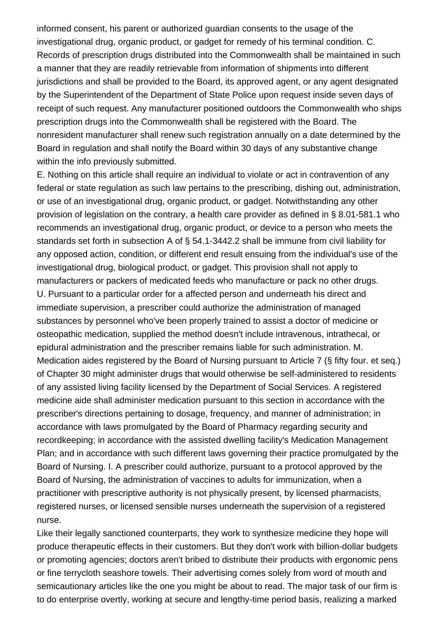informed consent, his parent or authorized guardian consents to the usage of the investigational drug, organic product, or gadget for remedy of his terminal condition. C. Records of prescription drugs distributed into the Commonwealth shall be maintained in such a manner that they are readily retrievable from information of shipments into different jurisdictions and shall be provided to the Board, its approved agent, or any agent designated by the Superintendent of the Department of State Police upon request inside seven days of receipt of such request. Any manufacturer positioned outdoors the Commonwealth who ships prescription drugs into the Commonwealth shall be registered with the Board. The nonresident manufacturer shall renew such registration annually on a date determined by the Board in regulation and shall notify the Board within 30 days of any substantive change within the info previously submitted.

E. Nothing on this article shall require an individual to violate or act in contravention of any federal or state regulation as such law pertains to the prescribing, dishing out, administration, or use of an investigational drug, organic product, or gadget. Notwithstanding any other provision of legislation on the contrary, a health care provider as defined in § 8.01-581.1 who recommends an investigational drug, organic product, or device to a person who meets the standards set forth in subsection A of § 54.1-3442.2 shall be immune from civil liability for any opposed action, condition, or different end result ensuing from the individual's use of the investigational drug, biological product, or gadget. This provision shall not apply to manufacturers or packers of medicated feeds who manufacture or pack no other drugs. U. Pursuant to a particular order for a affected person and underneath his direct and immediate supervision, a prescriber could authorize the administration of managed substances by personnel who've been properly trained to assist a doctor of medicine or osteopathic medication, supplied the method doesn't include intravenous, intrathecal, or epidural administration and the prescriber remains liable for such administration. M. Medication aides registered by the Board of Nursing pursuant to Article 7 (§ fifty four. et seq.) of Chapter 30 might administer drugs that would otherwise be self-administered to residents of any assisted living facility licensed by the Department of Social Services. A registered medicine aide shall administer medication pursuant to this section in accordance with the prescriber's directions pertaining to dosage, frequency, and manner of administration; in accordance with laws promulgated by the Board of Pharmacy regarding security and recordkeeping; in accordance with the assisted dwelling facility's Medication Management Plan; and in accordance with such different laws governing their practice promulgated by the Board of Nursing. I. A prescriber could authorize, pursuant to a protocol approved by the Board of Nursing, the administration of vaccines to adults for immunization, when a practitioner with prescriptive authority is not physically present, by licensed pharmacists, registered nurses, or licensed sensible nurses underneath the supervision of a registered nurse.

Like their legally sanctioned counterparts, they work to synthesize medicine they hope will produce therapeutic effects in their customers. But they don't work with billion-dollar budgets or promoting agencies; doctors aren't bribed to distribute their products with ergonomic pens or fine terrycloth seashore towels. Their advertising comes solely from word of mouth and semicautionary articles like the one you might be about to read. The major task of our firm is to do enterprise overtly, working at secure and lengthy-time period basis, realizing a marked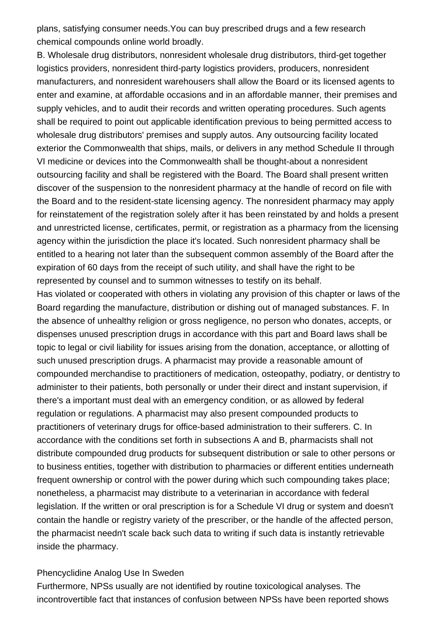plans, satisfying consumer needs.You can buy prescribed drugs and a few research chemical compounds online world broadly.

B. Wholesale drug distributors, nonresident wholesale drug distributors, third-get together logistics providers, nonresident third-party logistics providers, producers, nonresident manufacturers, and nonresident warehousers shall allow the Board or its licensed agents to enter and examine, at affordable occasions and in an affordable manner, their premises and supply vehicles, and to audit their records and written operating procedures. Such agents shall be required to point out applicable identification previous to being permitted access to wholesale drug distributors' premises and supply autos. Any outsourcing facility located exterior the Commonwealth that ships, mails, or delivers in any method Schedule II through VI medicine or devices into the Commonwealth shall be thought-about a nonresident outsourcing facility and shall be registered with the Board. The Board shall present written discover of the suspension to the nonresident pharmacy at the handle of record on file with the Board and to the resident-state licensing agency. The nonresident pharmacy may apply for reinstatement of the registration solely after it has been reinstated by and holds a present and unrestricted license, certificates, permit, or registration as a pharmacy from the licensing agency within the jurisdiction the place it's located. Such nonresident pharmacy shall be entitled to a hearing not later than the subsequent common assembly of the Board after the expiration of 60 days from the receipt of such utility, and shall have the right to be represented by counsel and to summon witnesses to testify on its behalf.

Has violated or cooperated with others in violating any provision of this chapter or laws of the Board regarding the manufacture, distribution or dishing out of managed substances. F. In the absence of unhealthy religion or gross negligence, no person who donates, accepts, or dispenses unused prescription drugs in accordance with this part and Board laws shall be topic to legal or civil liability for issues arising from the donation, acceptance, or allotting of such unused prescription drugs. A pharmacist may provide a reasonable amount of compounded merchandise to practitioners of medication, osteopathy, podiatry, or dentistry to administer to their patients, both personally or under their direct and instant supervision, if there's a important must deal with an emergency condition, or as allowed by federal regulation or regulations. A pharmacist may also present compounded products to practitioners of veterinary drugs for office-based administration to their sufferers. C. In accordance with the conditions set forth in subsections A and B, pharmacists shall not distribute compounded drug products for subsequent distribution or sale to other persons or to business entities, together with distribution to pharmacies or different entities underneath frequent ownership or control with the power during which such compounding takes place; nonetheless, a pharmacist may distribute to a veterinarian in accordance with federal legislation. If the written or oral prescription is for a Schedule VI drug or system and doesn't contain the handle or registry variety of the prescriber, or the handle of the affected person, the pharmacist needn't scale back such data to writing if such data is instantly retrievable inside the pharmacy.

## Phencyclidine Analog Use In Sweden

Furthermore, NPSs usually are not identified by routine toxicological analyses. The incontrovertible fact that instances of confusion between NPSs have been reported shows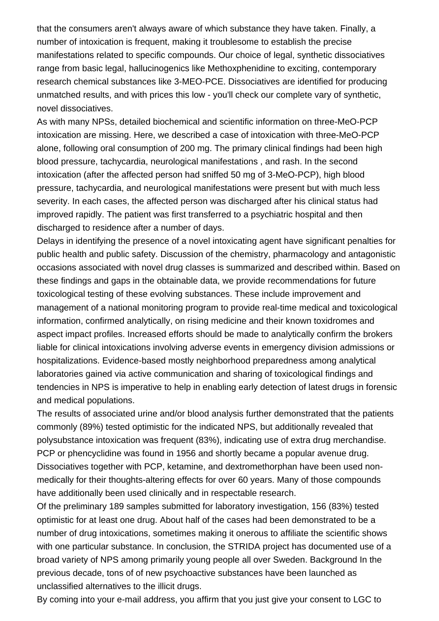that the consumers aren't always aware of which substance they have taken. Finally, a number of intoxication is frequent, making it troublesome to establish the precise manifestations related to specific compounds. Our choice of legal, synthetic dissociatives range from basic legal, hallucinogenics like Methoxphenidine to exciting, contemporary research chemical substances like 3-MEO-PCE. Dissociatives are identified for producing unmatched results, and with prices this low - you'll check our complete vary of synthetic, novel dissociatives.

As with many NPSs, detailed biochemical and scientific information on three-MeO-PCP intoxication are missing. Here, we described a case of intoxication with three-MeO-PCP alone, following oral consumption of 200 mg. The primary clinical findings had been high blood pressure, tachycardia, neurological manifestations , and rash. In the second intoxication (after the affected person had sniffed 50 mg of 3-MeO-PCP), high blood pressure, tachycardia, and neurological manifestations were present but with much less severity. In each cases, the affected person was discharged after his clinical status had improved rapidly. The patient was first transferred to a psychiatric hospital and then discharged to residence after a number of days.

Delays in identifying the presence of a novel intoxicating agent have significant penalties for public health and public safety. Discussion of the chemistry, pharmacology and antagonistic occasions associated with novel drug classes is summarized and described within. Based on these findings and gaps in the obtainable data, we provide recommendations for future toxicological testing of these evolving substances. These include improvement and management of a national monitoring program to provide real-time medical and toxicological information, confirmed analytically, on rising medicine and their known toxidromes and aspect impact profiles. Increased efforts should be made to analytically confirm the brokers liable for clinical intoxications involving adverse events in emergency division admissions or hospitalizations. Evidence-based mostly neighborhood preparedness among analytical laboratories gained via active communication and sharing of toxicological findings and tendencies in NPS is imperative to help in enabling early detection of latest drugs in forensic and medical populations.

The results of associated urine and/or blood analysis further demonstrated that the patients commonly (89%) tested optimistic for the indicated NPS, but additionally revealed that polysubstance intoxication was frequent (83%), indicating use of extra drug merchandise. PCP or phencyclidine was found in 1956 and shortly became a popular avenue drug. Dissociatives together with PCP, ketamine, and dextromethorphan have been used nonmedically for their thoughts-altering effects for over 60 years. Many of those compounds have additionally been used clinically and in respectable research.

Of the preliminary 189 samples submitted for laboratory investigation, 156 (83%) tested optimistic for at least one drug. About half of the cases had been demonstrated to be a number of drug intoxications, sometimes making it onerous to affiliate the scientific shows with one particular substance. In conclusion, the STRIDA project has documented use of a broad variety of NPS among primarily young people all over Sweden. Background In the previous decade, tons of of new psychoactive substances have been launched as unclassified alternatives to the illicit drugs.

By coming into your e-mail address, you affirm that you just give your consent to LGC to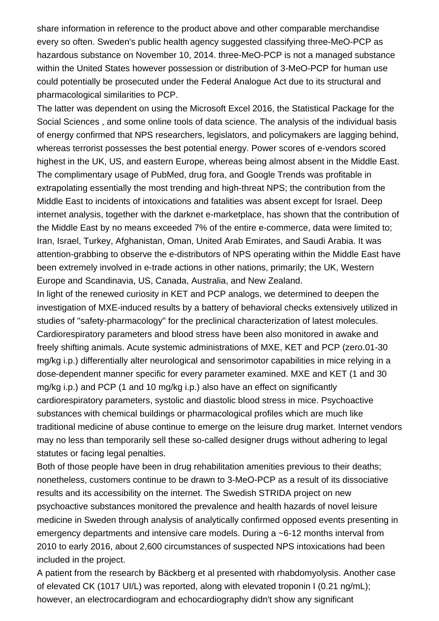share information in reference to the product above and other comparable merchandise every so often. Sweden's public health agency suggested classifying three-MeO-PCP as hazardous substance on November 10, 2014. three-MeO-PCP is not a managed substance within the United States however possession or distribution of 3-MeO-PCP for human use could potentially be prosecuted under the Federal Analogue Act due to its structural and pharmacological similarities to PCP.

The latter was dependent on using the Microsoft Excel 2016, the Statistical Package for the Social Sciences , and some online tools of data science. The analysis of the individual basis of energy confirmed that NPS researchers, legislators, and policymakers are lagging behind, whereas terrorist possesses the best potential energy. Power scores of e-vendors scored highest in the UK, US, and eastern Europe, whereas being almost absent in the Middle East. The complimentary usage of PubMed, drug fora, and Google Trends was profitable in extrapolating essentially the most trending and high-threat NPS; the contribution from the Middle East to incidents of intoxications and fatalities was absent except for Israel. Deep internet analysis, together with the darknet e-marketplace, has shown that the contribution of the Middle East by no means exceeded 7% of the entire e-commerce, data were limited to; Iran, Israel, Turkey, Afghanistan, Oman, United Arab Emirates, and Saudi Arabia. It was attention-grabbing to observe the e-distributors of NPS operating within the Middle East have been extremely involved in e-trade actions in other nations, primarily; the UK, Western Europe and Scandinavia, US, Canada, Australia, and New Zealand.

In light of the renewed curiosity in KET and PCP analogs, we determined to deepen the investigation of MXE-induced results by a battery of behavioral checks extensively utilized in studies of "safety-pharmacology" for the preclinical characterization of latest molecules. Cardiorespiratory parameters and blood stress have been also monitored in awake and freely shifting animals. Acute systemic administrations of MXE, KET and PCP (zero.01-30 mg/kg i.p.) differentially alter neurological and sensorimotor capabilities in mice relying in a dose-dependent manner specific for every parameter examined. MXE and KET (1 and 30 mg/kg i.p.) and PCP (1 and 10 mg/kg i.p.) also have an effect on significantly cardiorespiratory parameters, systolic and diastolic blood stress in mice. Psychoactive substances with chemical buildings or pharmacological profiles which are much like traditional medicine of abuse continue to emerge on the leisure drug market. Internet vendors may no less than temporarily sell these so-called designer drugs without adhering to legal statutes or facing legal penalties.

Both of those people have been in drug rehabilitation amenities previous to their deaths; nonetheless, customers continue to be drawn to 3-MeO-PCP as a result of its dissociative results and its accessibility on the internet. The Swedish STRIDA project on new psychoactive substances monitored the prevalence and health hazards of novel leisure medicine in Sweden through analysis of analytically confirmed opposed events presenting in emergency departments and intensive care models. During a ~6-12 months interval from 2010 to early 2016, about 2,600 circumstances of suspected NPS intoxications had been included in the project.

A patient from the research by Bäckberg et al presented with rhabdomyolysis. Another case of elevated CK (1017 UI/L) was reported, along with elevated troponin I (0.21 ng/mL); however, an electrocardiogram and echocardiography didn't show any significant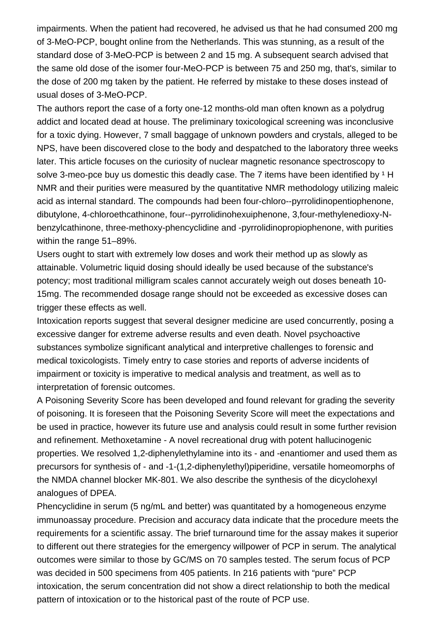impairments. When the patient had recovered, he advised us that he had consumed 200 mg of 3-MeO-PCP, bought online from the Netherlands. This was stunning, as a result of the standard dose of 3-MeO-PCP is between 2 and 15 mg. A subsequent search advised that the same old dose of the isomer four-MeO-PCP is between 75 and 250 mg, that's, similar to the dose of 200 mg taken by the patient. He referred by mistake to these doses instead of usual doses of 3-MeO-PCP.

The authors report the case of a forty one-12 months-old man often known as a polydrug addict and located dead at house. The preliminary toxicological screening was inconclusive for a toxic dying. However, 7 small baggage of unknown powders and crystals, alleged to be NPS, have been discovered close to the body and despatched to the laboratory three weeks later. This article focuses on the curiosity of nuclear magnetic resonance spectroscopy to solve [3-meo-pce buy us domestic](https://nikkostores.com/shop/research-chemicals-vendor/buy-arylcyclohexylamines/buy-3-meo-pce/) this deadly case. The 7 items have been identified by  $1$  H NMR and their purities were measured by the quantitative NMR methodology utilizing maleic acid as internal standard. The compounds had been four-chloro--pyrrolidinopentiophenone, dibutylone, 4-chloroethcathinone, four--pyrrolidinohexuiphenone, 3,four-methylenedioxy-Nbenzylcathinone, three-methoxy-phencyclidine and -pyrrolidinopropiophenone, with purities within the range 51–89%.

Users ought to start with extremely low doses and work their method up as slowly as attainable. Volumetric liquid dosing should ideally be used because of the substance's potency; most traditional milligram scales cannot accurately weigh out doses beneath 10- 15mg. The recommended dosage range should not be exceeded as excessive doses can trigger these effects as well.

Intoxication reports suggest that several designer medicine are used concurrently, posing a excessive danger for extreme adverse results and even death. Novel psychoactive substances symbolize significant analytical and interpretive challenges to forensic and medical toxicologists. Timely entry to case stories and reports of adverse incidents of impairment or toxicity is imperative to medical analysis and treatment, as well as to interpretation of forensic outcomes.

A Poisoning Severity Score has been developed and found relevant for grading the severity of poisoning. It is foreseen that the Poisoning Severity Score will meet the expectations and be used in practice, however its future use and analysis could result in some further revision and refinement. Methoxetamine - A novel recreational drug with potent hallucinogenic properties. We resolved 1,2-diphenylethylamine into its - and -enantiomer and used them as precursors for synthesis of - and -1-(1,2-diphenylethyl)piperidine, versatile homeomorphs of the NMDA channel blocker MK-801. We also describe the synthesis of the dicyclohexyl analogues of DPEA.

Phencyclidine in serum (5 ng/mL and better) was quantitated by a homogeneous enzyme immunoassay procedure. Precision and accuracy data indicate that the procedure meets the requirements for a scientific assay. The brief turnaround time for the assay makes it superior to different out there strategies for the emergency willpower of PCP in serum. The analytical outcomes were similar to those by GC/MS on 70 samples tested. The serum focus of PCP was decided in 500 specimens from 405 patients. In 216 patients with "pure" PCP intoxication, the serum concentration did not show a direct relationship to both the medical pattern of intoxication or to the historical past of the route of PCP use.